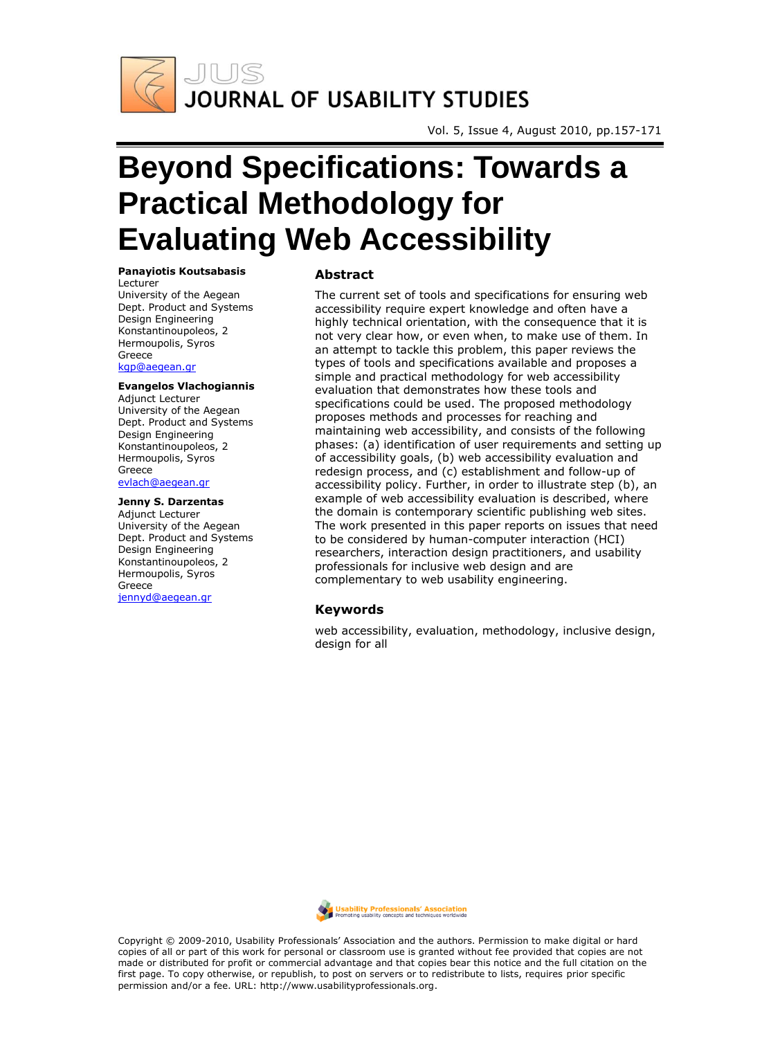

Vol. 5, Issue 4, August 2010, pp.157-171

# **Beyond Specifications: Towards a Practical Methodology for Evaluating Web Accessibility**

#### **Panayiotis Koutsabasis**

Lecturer University of the Aegean Dept. Product and Systems Design Engineering Konstantinoupoleos, 2 Hermoupolis, Syros Greece [kgp@aegean.gr](mailto:kgp@aegean.gr)

#### **Evangelos Vlachogiannis**

Adjunct Lecturer University of the Aegean Dept. Product and Systems Design Engineering Konstantinoupoleos, 2 Hermoupolis, Syros Greece [evlach@aegean.gr](mailto:evlach@aegean.gr)

#### **Jenny S. Darzentas**

Adjunct Lecturer University of the Aegean Dept. Product and Systems Design Engineering Konstantinoupoleos, 2 Hermoupolis, Syros Greece [jennyd@aegean.gr](mailto:jennyd@aegean.gr)

#### **Abstract**

The current set of tools and specifications for ensuring web accessibility require expert knowledge and often have a highly technical orientation, with the consequence that it is not very clear how, or even when, to make use of them. In an attempt to tackle this problem, this paper reviews the types of tools and specifications available and proposes a simple and practical methodology for web accessibility evaluation that demonstrates how these tools and specifications could be used. The proposed methodology proposes methods and processes for reaching and maintaining web accessibility, and consists of the following phases: (a) identification of user requirements and setting up of accessibility goals, (b) web accessibility evaluation and redesign process, and (c) establishment and follow-up of accessibility policy. Further, in order to illustrate step (b), an example of web accessibility evaluation is described, where the domain is contemporary scientific publishing web sites. The work presented in this paper reports on issues that need to be considered by human-computer interaction (HCI) researchers, interaction design practitioners, and usability professionals for inclusive web design and are complementary to web usability engineering.

#### **Keywords**

web accessibility, evaluation, methodology, inclusive design, design for all



Copyright © 2009-2010, Usability Professionals' Association and the authors. Permission to make digital or hard copies of all or part of this work for personal or classroom use is granted without fee provided that copies are not made or distributed for profit or commercial advantage and that copies bear this notice and the full citation on the first page. To copy otherwise, or republish, to post on servers or to redistribute to lists, requires prior specific permission and/or a fee. URL: http://www.usabilityprofessionals.org.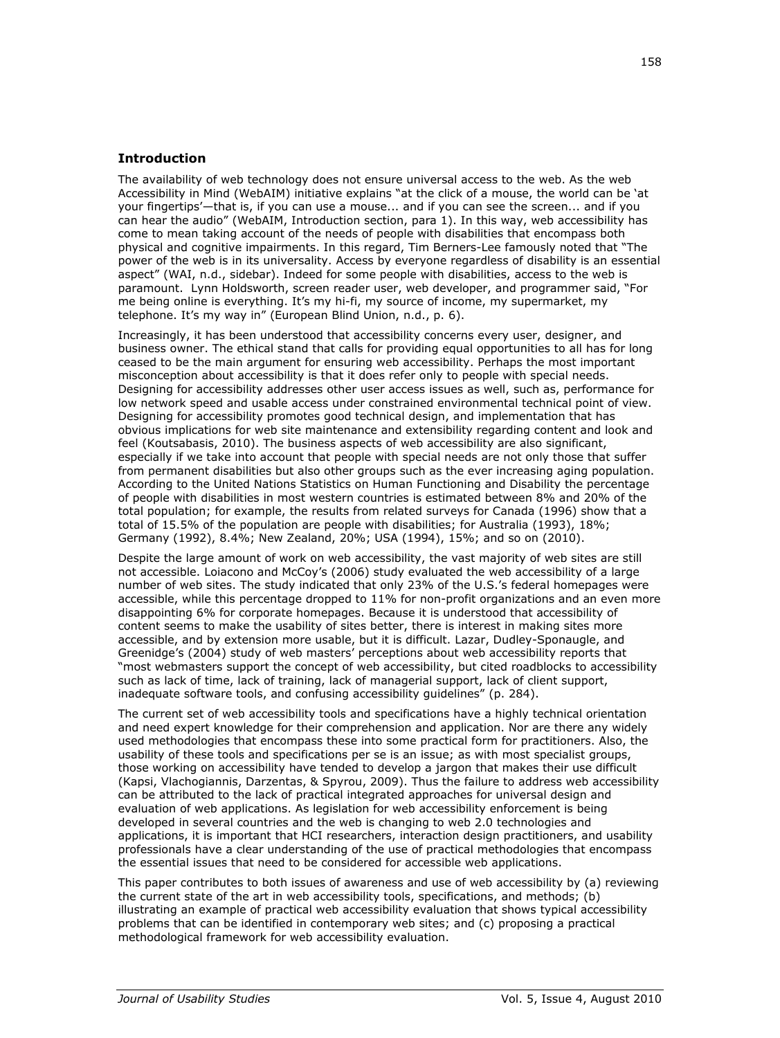# **Introduction**

The availability of web technology does not ensure universal access to the web. As the web Accessibility in Mind (WebAIM) initiative explains "at the click of a mouse, the world can be 'at your fingertips'—that is, if you can use a mouse... and if you can see the screen... and if you can hear the audio" (WebAIM, Introduction section, para 1). In this way, web accessibility has come to mean taking account of the needs of people with disabilities that encompass both physical and cognitive impairments. In this regard, Tim Berners-Lee famously noted that "The power of the web is in its universality. Access by everyone regardless of disability is an essential aspect" (WAI, n.d., sidebar). Indeed for some people with disabilities, access to the web is paramount. Lynn Holdsworth, screen reader user, web developer, and programmer said, "For me being online is everything. It's my hi-fi, my source of income, my supermarket, my telephone. It's my way in" (European Blind Union, n.d., p. 6).

Increasingly, it has been understood that accessibility concerns every user, designer, and business owner. The ethical stand that calls for providing equal opportunities to all has for long ceased to be the main argument for ensuring web accessibility. Perhaps the most important misconception about accessibility is that it does refer only to people with special needs. Designing for accessibility addresses other user access issues as well, such as, performance for low network speed and usable access under constrained environmental technical point of view. Designing for accessibility promotes good technical design, and implementation that has obvious implications for web site maintenance and extensibility regarding content and look and feel (Koutsabasis, 2010). The business aspects of web accessibility are also significant, especially if we take into account that people with special needs are not only those that suffer from permanent disabilities but also other groups such as the ever increasing aging population. According to the United Nations Statistics on Human Functioning and Disability the percentage of people with disabilities in most western countries is estimated between 8% and 20% of the total population; for example, the results from related surveys for Canada (1996) show that a total of 15.5% of the population are people with disabilities; for Australia (1993), 18%; Germany (1992), 8.4%; New Zealand, 20%; USA (1994), 15%; and so on (2010).

Despite the large amount of work on web accessibility, the vast majority of web sites are still not accessible. Loiacono and McCoy's (2006) study evaluated the web accessibility of a large number of web sites. The study indicated that only 23% of the U.S.'s federal homepages were accessible, while this percentage dropped to 11% for non-profit organizations and an even more disappointing 6% for corporate homepages. Because it is understood that accessibility of content seems to make the usability of sites better, there is interest in making sites more accessible, and by extension more usable, but it is difficult. Lazar, Dudley-Sponaugle, and Greenidge's (2004) study of web masters' perceptions about web accessibility reports that "most webmasters support the concept of web accessibility, but cited roadblocks to accessibility such as lack of time, lack of training, lack of managerial support, lack of client support, inadequate software tools, and confusing accessibility quidelines" (p. 284).

The current set of web accessibility tools and specifications have a highly technical orientation and need expert knowledge for their comprehension and application. Nor are there any widely used methodologies that encompass these into some practical form for practitioners. Also, the usability of these tools and specifications per se is an issue; as with most specialist groups, those working on accessibility have tended to develop a jargon that makes their use difficult (Kapsi, Vlachogiannis, Darzentas, & Spyrou, 2009). Thus the failure to address web accessibility can be attributed to the lack of practical integrated approaches for universal design and evaluation of web applications. As legislation for web accessibility enforcement is being developed in several countries and the web is changing to web 2.0 technologies and applications, it is important that HCI researchers, interaction design practitioners, and usability professionals have a clear understanding of the use of practical methodologies that encompass the essential issues that need to be considered for accessible web applications.

This paper contributes to both issues of awareness and use of web accessibility by (a) reviewing the current state of the art in web accessibility tools, specifications, and methods; (b) illustrating an example of practical web accessibility evaluation that shows typical accessibility problems that can be identified in contemporary web sites; and (c) proposing a practical methodological framework for web accessibility evaluation.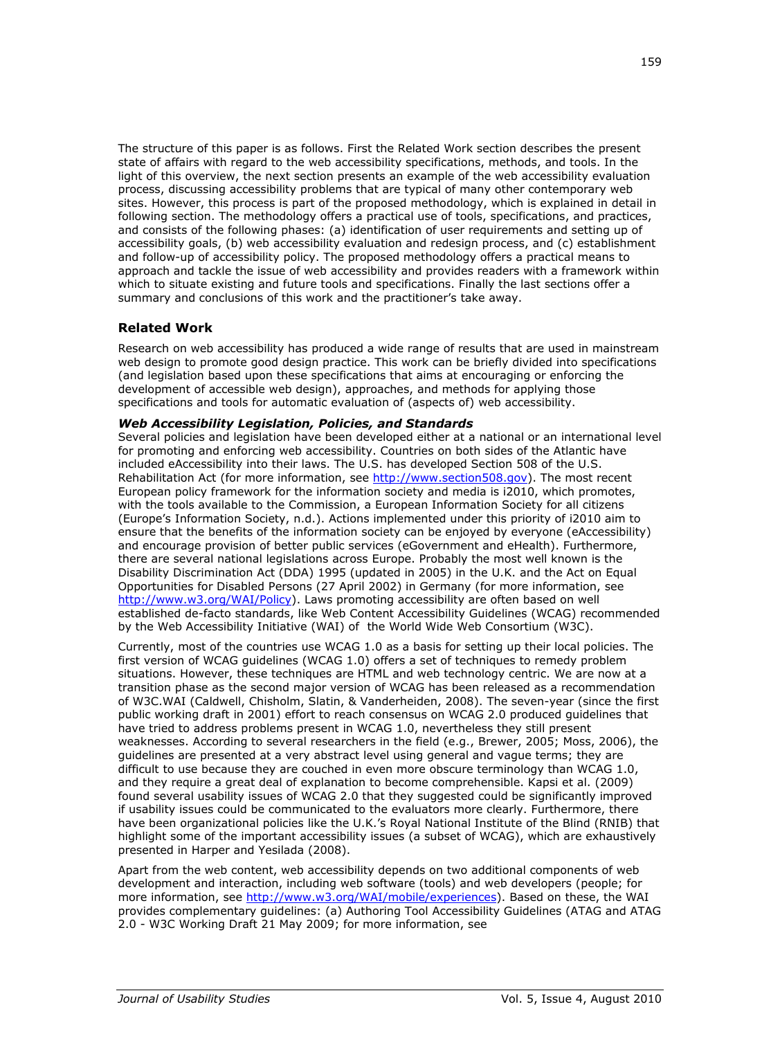The structure of this paper is as follows. First the Related Work section describes the present state of affairs with regard to the web accessibility specifications, methods, and tools. In the light of this overview, the next section presents an example of the web accessibility evaluation process, discussing accessibility problems that are typical of many other contemporary web sites. However, this process is part of the proposed methodology, which is explained in detail in following section. The methodology offers a practical use of tools, specifications, and practices, and consists of the following phases: (a) identification of user requirements and setting up of accessibility goals, (b) web accessibility evaluation and redesign process, and (c) establishment and follow-up of accessibility policy. The proposed methodology offers a practical means to approach and tackle the issue of web accessibility and provides readers with a framework within which to situate existing and future tools and specifications. Finally the last sections offer a summary and conclusions of this work and the practitioner's take away.

## **Related Work**

Research on web accessibility has produced a wide range of results that are used in mainstream web design to promote good design practice. This work can be briefly divided into specifications (and legislation based upon these specifications that aims at encouraging or enforcing the development of accessible web design), approaches, and methods for applying those specifications and tools for automatic evaluation of (aspects of) web accessibility.

## *Web Accessibility Legislation, Policies, and Standards*

Several policies and legislation have been developed either at a national or an international level for promoting and enforcing web accessibility. Countries on both sides of the Atlantic have included eAccessibility into their laws. The U.S. has developed Section 508 of the U.S. Rehabilitation Act (for more information, see [http://www.section508.gov\)](http://www.section508.gov/). The most recent European policy framework for the information society and media is i2010, which promotes, with the tools available to the Commission, a European Information Society for all citizens (Europe's Information Society, n.d.). Actions implemented under this priority of i2010 aim to ensure that the benefits of the information society can be enjoyed by everyone (eAccessibility) and encourage provision of better public services (eGovernment and eHealth). Furthermore, there are several national legislations across Europe. Probably the most well known is the Disability Discrimination Act (DDA) 1995 (updated in 2005) in the U.K. and the Act on Equal Opportunities for Disabled Persons (27 April 2002) in Germany (for more information, see [http://www.w3.org/WAI/Policy\)](http://www.w3.org/WAI/Policy). Laws promoting accessibility are often based on well established de-facto standards, like Web Content Accessibility Guidelines (WCAG) recommended by the Web Accessibility Initiative (WAI) of the World Wide Web Consortium (W3C).

Currently, most of the countries use WCAG 1.0 as a basis for setting up their local policies. The first version of WCAG guidelines (WCAG 1.0) offers a set of techniques to remedy problem situations. However, these techniques are HTML and web technology centric. We are now at a transition phase as the second major version of WCAG has been released as a recommendation of W3C.WAI (Caldwell, Chisholm, Slatin, & Vanderheiden, 2008). The seven-year (since the first public working draft in 2001) effort to reach consensus on WCAG 2.0 produced guidelines that have tried to address problems present in WCAG 1.0, nevertheless they still present weaknesses. According to several researchers in the field (e.g., Brewer, 2005; Moss, 2006), the guidelines are presented at a very abstract level using general and vague terms; they are difficult to use because they are couched in even more obscure terminology than WCAG 1.0, and they require a great deal of explanation to become comprehensible. Kapsi et al. (2009) found several usability issues of WCAG 2.0 that they suggested could be significantly improved if usability issues could be communicated to the evaluators more clearly. Furthermore, there have been organizational policies like the U.K.'s Royal National Institute of the Blind (RNIB) that highlight some of the important accessibility issues (a subset of WCAG), which are exhaustively presented in Harper and Yesilada (2008).

Apart from the web content, web accessibility depends on two additional components of web development and interaction, including web software (tools) and web developers (people; for more information, see [http://www.w3.org/WAI/mobile/experiences\)](http://www.w3.org/WAI/mobile/experiences). Based on these, the WAI provides complementary guidelines: (a) Authoring Tool Accessibility Guidelines (ATAG and ATAG 2.0 - W3C Working Draft 21 May 2009; for more information, see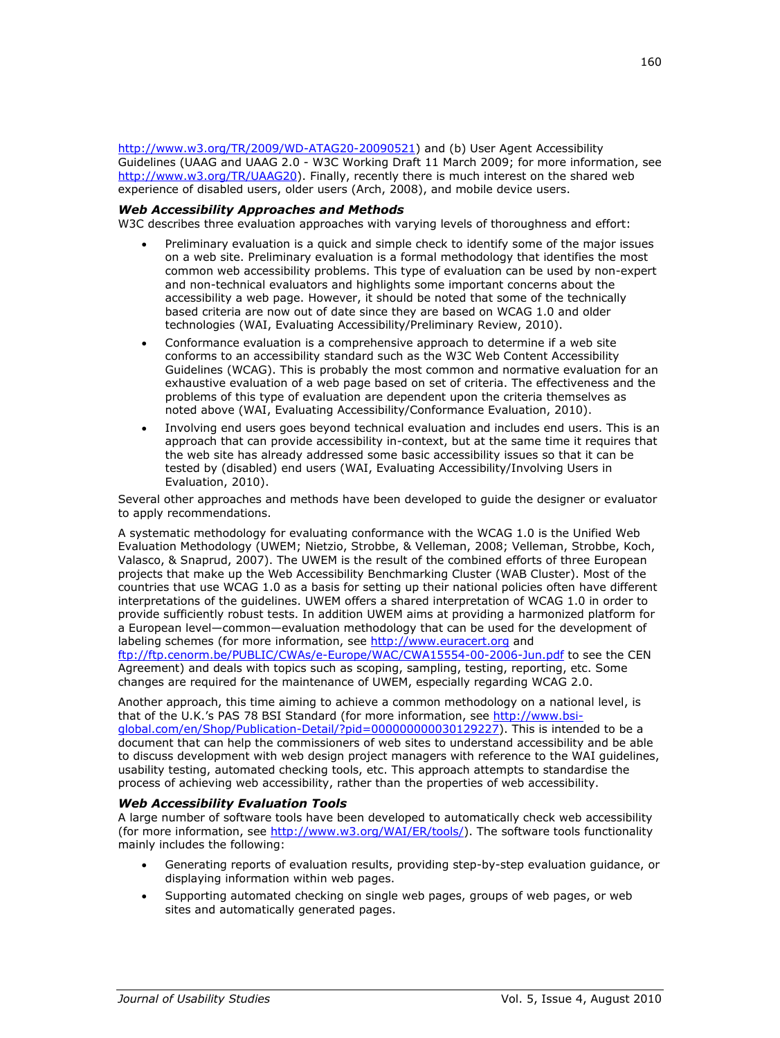[http://www.w3.org/TR/2009/WD-ATAG20-20090521\)](http://www.w3.org/TR/2009/WD-ATAG20-20090521) and (b) User Agent Accessibility Guidelines (UAAG and UAAG 2.0 - W3C Working Draft 11 March 2009; for more information, see [http://www.w3.org/TR/UAAG20\)](http://www.w3.org/TR/UAAG20). Finally, recently there is much interest on the shared web experience of disabled users, older users (Arch, 2008), and mobile device users.

## *Web Accessibility Approaches and Methods*

W3C describes three evaluation approaches with varying levels of thoroughness and effort:

- Preliminary evaluation is a quick and simple check to identify some of the major issues on a web site. Preliminary evaluation is a formal methodology that identifies the most common web accessibility problems. This type of evaluation can be used by non-expert and non-technical evaluators and highlights some important concerns about the accessibility a web page. However, it should be noted that some of the technically based criteria are now out of date since they are based on WCAG 1.0 and older technologies (WAI, Evaluating Accessibility/Preliminary Review, 2010).
- Conformance evaluation is a comprehensive approach to determine if a web site conforms to an accessibility standard such as the W3C Web Content Accessibility Guidelines (WCAG). This is probably the most common and normative evaluation for an exhaustive evaluation of a web page based on set of criteria. The effectiveness and the problems of this type of evaluation are dependent upon the criteria themselves as noted above (WAI, Evaluating Accessibility/Conformance Evaluation, 2010).
- Involving end users goes beyond technical evaluation and includes end users. This is an approach that can provide accessibility in-context, but at the same time it requires that the web site has already addressed some basic accessibility issues so that it can be tested by (disabled) end users (WAI, Evaluating Accessibility/Involving Users in Evaluation, 2010).

Several other approaches and methods have been developed to guide the designer or evaluator to apply recommendations.

A systematic methodology for evaluating conformance with the WCAG 1.0 is the Unified Web Evaluation Methodology (UWEM; Nietzio, Strobbe, & Velleman, 2008; Velleman, Strobbe, Koch, Valasco, & Snaprud, 2007). The UWEM is the result of the combined efforts of three European projects that make up the Web Accessibility Benchmarking Cluster (WAB Cluster). Most of the countries that use WCAG 1.0 as a basis for setting up their national policies often have different interpretations of the guidelines. UWEM offers a shared interpretation of WCAG 1.0 in order to provide sufficiently robust tests. In addition UWEM aims at providing a harmonized platform for a European level—common—evaluation methodology that can be used for the development of labeling schemes (for more information, see [http://www.euracert.org](http://www.euracert.org/) and <ftp://ftp.cenorm.be/PUBLIC/CWAs/e-Europe/WAC/CWA15554-00-2006-Jun.pdf> to see the CEN Agreement) and deals with topics such as scoping, sampling, testing, reporting, etc. Some changes are required for the maintenance of UWEM, especially regarding WCAG 2.0.

Another approach, this time aiming to achieve a common methodology on a national level, is that of the U.K.'s PAS 78 BSI Standard (for more information, see [http://www.bsi](http://www.bsi-global.com/en/Shop/Publication-Detail/?pid=000000000030129227)[global.com/en/Shop/Publication-Detail/?pid=000000000030129227\)](http://www.bsi-global.com/en/Shop/Publication-Detail/?pid=000000000030129227). This is intended to be a document that can help the commissioners of web sites to understand accessibility and be able to discuss development with web design project managers with reference to the WAI guidelines, usability testing, automated checking tools, etc. This approach attempts to standardise the process of achieving web accessibility, rather than the properties of web accessibility.

## *Web Accessibility Evaluation Tools*

A large number of software tools have been developed to automatically check web accessibility (for more information, see [http://www.w3.org/WAI/ER/tools/\)](http://www.w3.org/WAI/ER/tools/). The software tools functionality mainly includes the following:

- Generating reports of evaluation results, providing step-by-step evaluation guidance, or displaying information within web pages.
- Supporting automated checking on single web pages, groups of web pages, or web sites and automatically generated pages.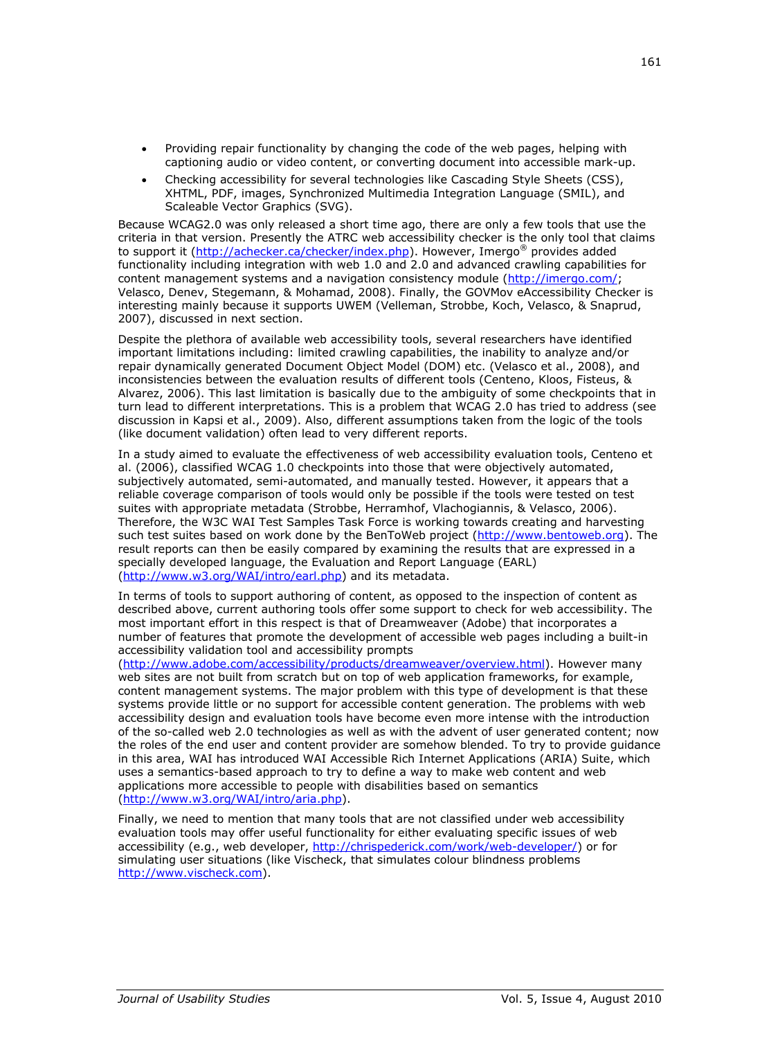- Providing repair functionality by changing the code of the web pages, helping with captioning audio or video content, or converting document into accessible mark-up.
- Checking accessibility for several technologies like Cascading Style Sheets (CSS), XHTML, PDF, images, Synchronized Multimedia Integration Language (SMIL), and Scaleable Vector Graphics (SVG).

Because WCAG2.0 was only released a short time ago, there are only a few tools that use the criteria in that version. Presently the ATRC web accessibility checker is the only tool that claims to support it [\(http://achecker.ca/checker/index.php\)](http://achecker.ca/checker/index.php). However, Imergo<sup>®</sup> provides added functionality including integration with web 1.0 and 2.0 and advanced crawling capabilities for content management systems and a navigation consistency module [\(http://imergo.com/;](http://imergo.com/) Velasco, Denev, Stegemann, & Mohamad, 2008). Finally, the GOVMov eAccessibility Checker is interesting mainly because it supports UWEM (Velleman, Strobbe, Koch, Velasco, & Snaprud, 2007), discussed in next section.

Despite the plethora of available web accessibility tools, several researchers have identified important limitations including: limited crawling capabilities, the inability to analyze and/or repair dynamically generated Document Object Model (DOM) etc. (Velasco et al., 2008), and inconsistencies between the evaluation results of different tools (Centeno, Kloos, Fisteus, & Alvarez, 2006). This last limitation is basically due to the ambiguity of some checkpoints that in turn lead to different interpretations. This is a problem that WCAG 2.0 has tried to address (see discussion in Kapsi et al., 2009). Also, different assumptions taken from the logic of the tools (like document validation) often lead to very different reports.

In a study aimed to evaluate the effectiveness of web accessibility evaluation tools, Centeno et al. (2006), classified WCAG 1.0 checkpoints into those that were objectively automated, subjectively automated, semi-automated, and manually tested. However, it appears that a reliable coverage comparison of tools would only be possible if the tools were tested on test suites with appropriate metadata (Strobbe, Herramhof, Vlachogiannis, & Velasco, 2006). Therefore, the W3C WAI Test Samples Task Force is working towards creating and harvesting such test suites based on work done by the BenToWeb project [\(http://www.bentoweb.org\)](http://www.bentoweb.org/). The result reports can then be easily compared by examining the results that are expressed in a specially developed language, the Evaluation and Report Language (EARL) [\(http://www.w3.org/WAI/intro/earl.php\)](http://www.w3.org/WAI/intro/earl.php) and its metadata.

In terms of tools to support authoring of content, as opposed to the inspection of content as described above, current authoring tools offer some support to check for web accessibility. The most important effort in this respect is that of Dreamweaver (Adobe) that incorporates a number of features that promote the development of accessible web pages including a built-in accessibility validation tool and accessibility prompts

[\(http://www.adobe.com/accessibility/products/dreamweaver/overview.html\)](http://www.adobe.com/accessibility/products/dreamweaver/overview.html). However many web sites are not built from scratch but on top of web application frameworks, for example, content management systems. The major problem with this type of development is that these systems provide little or no support for accessible content generation. The problems with web accessibility design and evaluation tools have become even more intense with the introduction of the so-called web 2.0 technologies as well as with the advent of user generated content; now the roles of the end user and content provider are somehow blended. To try to provide guidance in this area, WAI has introduced WAI Accessible Rich Internet Applications (ARIA) Suite, which uses a semantics-based approach to try to define a way to make web content and web applications more accessible to people with disabilities based on semantics [\(http://www.w3.org/WAI/intro/aria.php\)](http://www.w3.org/WAI/intro/aria.php).

Finally, we need to mention that many tools that are not classified under web accessibility evaluation tools may offer useful functionality for either evaluating specific issues of web accessibility (e.g., web developer, [http://chrispederick.com/work/web-developer/\)](http://chrispederick.com/work/web-developer/) or for simulating user situations (like Vischeck, that simulates colour blindness problems [http://www.vischeck.com\)](http://www.vischeck.com/).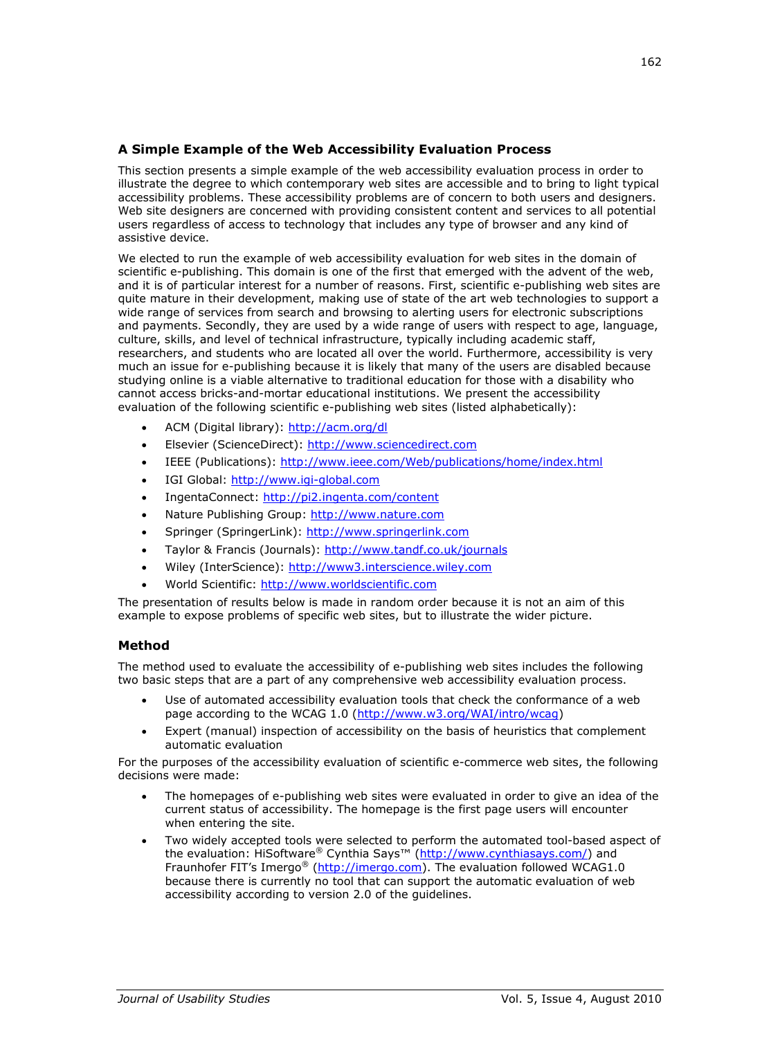# **A Simple Example of the Web Accessibility Evaluation Process**

This section presents a simple example of the web accessibility evaluation process in order to illustrate the degree to which contemporary web sites are accessible and to bring to light typical accessibility problems. These accessibility problems are of concern to both users and designers. Web site designers are concerned with providing consistent content and services to all potential users regardless of access to technology that includes any type of browser and any kind of assistive device.

We elected to run the example of web accessibility evaluation for web sites in the domain of scientific e-publishing. This domain is one of the first that emerged with the advent of the web, and it is of particular interest for a number of reasons. First, scientific e-publishing web sites are quite mature in their development, making use of state of the art web technologies to support a wide range of services from search and browsing to alerting users for electronic subscriptions and payments. Secondly, they are used by a wide range of users with respect to age, language, culture, skills, and level of technical infrastructure, typically including academic staff, researchers, and students who are located all over the world. Furthermore, accessibility is very much an issue for e-publishing because it is likely that many of the users are disabled because studying online is a viable alternative to traditional education for those with a disability who cannot access bricks-and-mortar educational institutions. We present the accessibility evaluation of the following scientific e-publishing web sites (listed alphabetically):

- ACM (Digital library): <http://acm.org/dl>
- Elsevier (ScienceDirect): [http://www.sciencedirect.com](http://www.sciencedirect.com/)
- IEEE (Publications): <http://www.ieee.com/Web/publications/home/index.html>
- IGI Global: [http://www.igi-global.com](http://www.igi-global.com/)
- IngentaConnect: <http://pi2.ingenta.com/content>
- Nature Publishing Group: [http://www.nature.com](http://www.nature.com/)
- Springer (SpringerLink): [http://www.springerlink.com](http://www.springerlink.com/)
- Taylor & Francis (Journals): <http://www.tandf.co.uk/journals>
- Wiley (InterScience): [http://www3.interscience.wiley.com](http://www3.interscience.wiley.com/)
- World Scientific: [http://www.worldscientific.com](http://www.worldscientific.com/)

The presentation of results below is made in random order because it is not an aim of this example to expose problems of specific web sites, but to illustrate the wider picture.

## **Method**

The method used to evaluate the accessibility of e-publishing web sites includes the following two basic steps that are a part of any comprehensive web accessibility evaluation process.

- Use of automated accessibility evaluation tools that check the conformance of a web page according to the WCAG 1.0 [\(http://www.w3.org/WAI/intro/wcag\)](http://www.w3.org/WAI/intro/wcag)
- Expert (manual) inspection of accessibility on the basis of heuristics that complement automatic evaluation

For the purposes of the accessibility evaluation of scientific e-commerce web sites, the following decisions were made:

- The homepages of e-publishing web sites were evaluated in order to give an idea of the current status of accessibility. The homepage is the first page users will encounter when entering the site.
- Two widely accepted tools were selected to perform the automated tool-based aspect of the evaluation: HiSoftware® Cynthia Says™ ([http://www.cynthiasays.com/\)](http://www.cynthiasays.com/) and Fraunhofer FIT's Imergo<sup>®</sup> [\(http://imergo.com\)](http://imergo.com/). The evaluation followed WCAG1.0 because there is currently no tool that can support the automatic evaluation of web accessibility according to version 2.0 of the guidelines.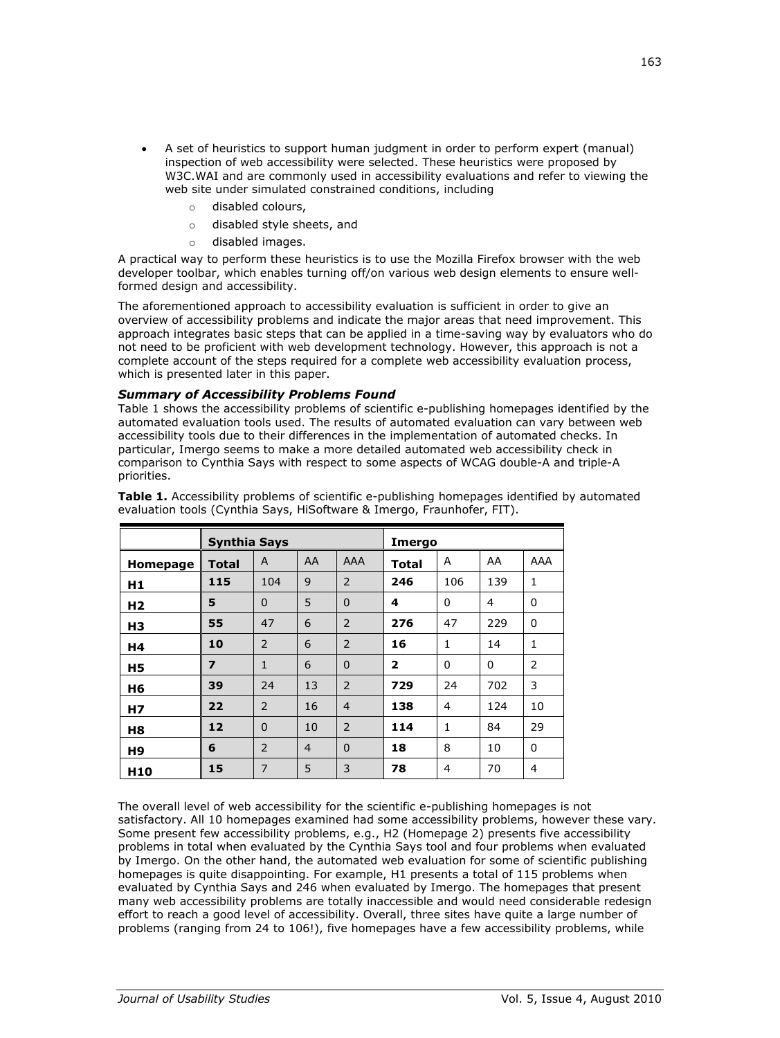- A set of heuristics to support human judgment in order to perform expert (manual) inspection of web accessibility were selected. These heuristics were proposed by W3C.WAI and are commonly used in accessibility evaluations and refer to viewing the web site under simulated constrained conditions, including
	- disabled colours,
	- o disabled style sheets, and
	- o disabled images.

A practical way to perform these heuristics is to use the Mozilla Firefox browser with the web developer toolbar, which enables turning off/on various web design elements to ensure wellformed design and accessibility.

The aforementioned approach to accessibility evaluation is sufficient in order to give an overview of accessibility problems and indicate the major areas that need improvement. This approach integrates basic steps that can be applied in a time-saving way by evaluators who do not need to be proficient with web development technology. However, this approach is not a complete account of the steps required for a complete web accessibility evaluation process, which is presented later in this paper.

## *Summary of Accessibility Problems Found*

Table 1 shows the accessibility problems of scientific e-publishing homepages identified by the automated evaluation tools used. The results of automated evaluation can vary between web accessibility tools due to their differences in the implementation of automated checks. In particular, Imergo seems to make a more detailed automated web accessibility check in comparison to Cynthia Says with respect to some aspects of WCAG double-A and triple-A priorities.

|                 | <b>Synthia Says</b> |                |                |                | Imergo         |                |     |              |
|-----------------|---------------------|----------------|----------------|----------------|----------------|----------------|-----|--------------|
| Homepage        | <b>Total</b>        | A              | AA             | AAA            | <b>Total</b>   | A              | AA  | AAA          |
| H1              | 115                 | 104            | 9              | 2              | 246            | 106            | 139 | 1            |
| H <sub>2</sub>  | 5                   | $\Omega$       | 5              | $\mathbf 0$    | 4              | $\mathbf{0}$   | 4   | $\Omega$     |
| H <sub>3</sub>  | 55                  | 47             | 6              | $\overline{2}$ | 276            | 47             | 229 | $\Omega$     |
| Η4              | 10                  | 2              | 6              | $\overline{2}$ | 16             | $\mathbf{1}$   | 14  | $\mathbf{1}$ |
| H <sub>5</sub>  | 7                   | $\mathbf{1}$   | 6              | $\mathbf 0$    | $\overline{2}$ | $\mathbf{0}$   | 0   | 2            |
| H6              | 39                  | 24             | 13             | $\overline{2}$ | 729            | 24             | 702 | 3            |
| <b>H7</b>       | 22                  | 2              | 16             | $\overline{4}$ | 138            | $\overline{4}$ | 124 | 10           |
| H8              | 12                  | $\Omega$       | 10             | 2              | 114            | 1              | 84  | 29           |
| H9              | 6                   | 2              | $\overline{4}$ | $\Omega$       | 18             | 8              | 10  | $\Omega$     |
| H <sub>10</sub> | 15                  | $\overline{7}$ | 5              | 3              | 78             | 4              | 70  | 4            |

**Table 1.** Accessibility problems of scientific e-publishing homepages identified by automated evaluation tools (Cynthia Says, HiSoftware & Imergo, Fraunhofer, FIT).

The overall level of web accessibility for the scientific e-publishing homepages is not satisfactory. All 10 homepages examined had some accessibility problems, however these vary. Some present few accessibility problems, e.g., H2 (Homepage 2) presents five accessibility problems in total when evaluated by the Cynthia Says tool and four problems when evaluated by Imergo. On the other hand, the automated web evaluation for some of scientific publishing homepages is quite disappointing. For example, H1 presents a total of 115 problems when evaluated by Cynthia Says and 246 when evaluated by Imergo. The homepages that present many web accessibility problems are totally inaccessible and would need considerable redesign effort to reach a good level of accessibility. Overall, three sites have quite a large number of problems (ranging from 24 to 106!), five homepages have a few accessibility problems, while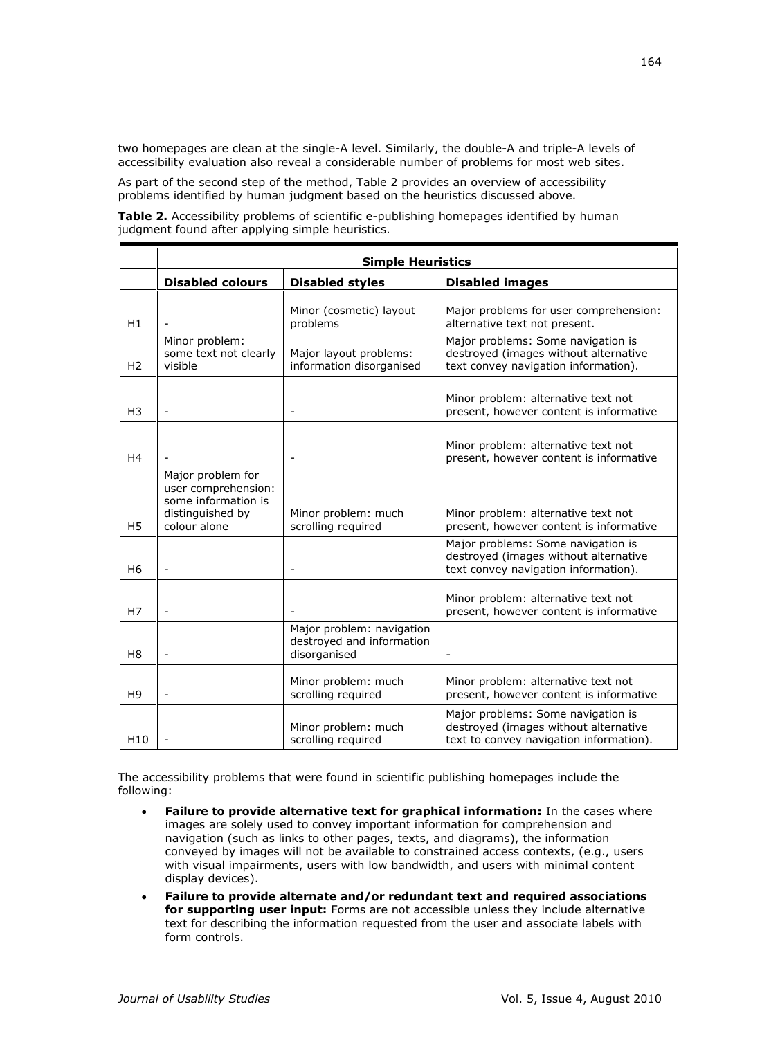two homepages are clean at the single-A level. Similarly, the double-A and triple-A levels of accessibility evaluation also reveal a considerable number of problems for most web sites.

As part of the second step of the method, Table 2 provides an overview of accessibility problems identified by human judgment based on the heuristics discussed above.

**Table 2.** Accessibility problems of scientific e-publishing homepages identified by human judgment found after applying simple heuristics.

|                 | <b>Simple Heuristics</b>                                                                            |                                                                        |                                                                                                                        |  |  |  |
|-----------------|-----------------------------------------------------------------------------------------------------|------------------------------------------------------------------------|------------------------------------------------------------------------------------------------------------------------|--|--|--|
|                 | <b>Disabled colours</b>                                                                             | <b>Disabled styles</b>                                                 | <b>Disabled images</b>                                                                                                 |  |  |  |
| H1              |                                                                                                     | Minor (cosmetic) layout<br>problems                                    | Major problems for user comprehension:<br>alternative text not present.                                                |  |  |  |
| H <sub>2</sub>  | Minor problem:<br>some text not clearly<br>visible                                                  | Major layout problems:<br>information disorganised                     | Major problems: Some navigation is<br>destroyed (images without alternative<br>text convey navigation information).    |  |  |  |
| H <sub>3</sub>  | $\blacksquare$                                                                                      | $\blacksquare$                                                         | Minor problem: alternative text not<br>present, however content is informative                                         |  |  |  |
| H4              |                                                                                                     | $\overline{\phantom{m}}$                                               | Minor problem: alternative text not<br>present, however content is informative                                         |  |  |  |
| H5              | Major problem for<br>user comprehension:<br>some information is<br>distinguished by<br>colour alone | Minor problem: much<br>scrolling required                              | Minor problem: alternative text not<br>present, however content is informative                                         |  |  |  |
| H <sub>6</sub>  |                                                                                                     |                                                                        | Major problems: Some navigation is<br>destroyed (images without alternative<br>text convey navigation information).    |  |  |  |
| H7              | $\overline{\phantom{a}}$                                                                            |                                                                        | Minor problem: alternative text not<br>present, however content is informative                                         |  |  |  |
| H <sub>8</sub>  | $\overline{a}$                                                                                      | Major problem: navigation<br>destroyed and information<br>disorganised |                                                                                                                        |  |  |  |
| H <sub>9</sub>  | $\overline{a}$                                                                                      | Minor problem: much<br>scrolling required                              | Minor problem: alternative text not<br>present, however content is informative                                         |  |  |  |
| H <sub>10</sub> |                                                                                                     | Minor problem: much<br>scrolling required                              | Major problems: Some navigation is<br>destroyed (images without alternative<br>text to convey navigation information). |  |  |  |

The accessibility problems that were found in scientific publishing homepages include the following:

- **Failure to provide alternative text for graphical information:** In the cases where images are solely used to convey important information for comprehension and navigation (such as links to other pages, texts, and diagrams), the information conveyed by images will not be available to constrained access contexts, (e.g., users with visual impairments, users with low bandwidth, and users with minimal content display devices).
- **Failure to provide alternate and/or redundant text and required associations for supporting user input:** Forms are not accessible unless they include alternative text for describing the information requested from the user and associate labels with form controls.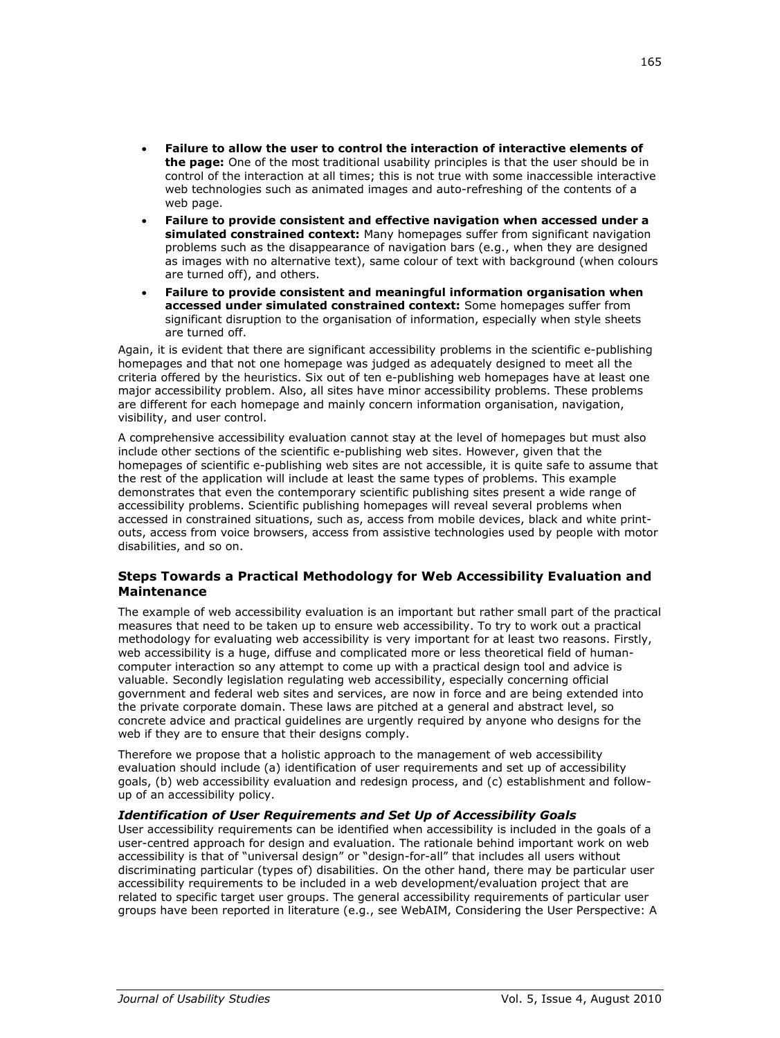- **Failure to allow the user to control the interaction of interactive elements of the page:** One of the most traditional usability principles is that the user should be in control of the interaction at all times; this is not true with some inaccessible interactive web technologies such as animated images and auto-refreshing of the contents of a web page.
- **Failure to provide consistent and effective navigation when accessed under a simulated constrained context:** Many homepages suffer from significant navigation problems such as the disappearance of navigation bars (e.g., when they are designed as images with no alternative text), same colour of text with background (when colours are turned off), and others.
- **Failure to provide consistent and meaningful information organisation when accessed under simulated constrained context:** Some homepages suffer from significant disruption to the organisation of information, especially when style sheets are turned off.

Again, it is evident that there are significant accessibility problems in the scientific e-publishing homepages and that not one homepage was judged as adequately designed to meet all the criteria offered by the heuristics. Six out of ten e-publishing web homepages have at least one major accessibility problem. Also, all sites have minor accessibility problems. These problems are different for each homepage and mainly concern information organisation, navigation, visibility, and user control.

A comprehensive accessibility evaluation cannot stay at the level of homepages but must also include other sections of the scientific e-publishing web sites. However, given that the homepages of scientific e-publishing web sites are not accessible, it is quite safe to assume that the rest of the application will include at least the same types of problems. This example demonstrates that even the contemporary scientific publishing sites present a wide range of accessibility problems. Scientific publishing homepages will reveal several problems when accessed in constrained situations, such as, access from mobile devices, black and white printouts, access from voice browsers, access from assistive technologies used by people with motor disabilities, and so on.

## **Steps Towards a Practical Methodology for Web Accessibility Evaluation and Maintenance**

The example of web accessibility evaluation is an important but rather small part of the practical measures that need to be taken up to ensure web accessibility. To try to work out a practical methodology for evaluating web accessibility is very important for at least two reasons. Firstly, web accessibility is a huge, diffuse and complicated more or less theoretical field of humancomputer interaction so any attempt to come up with a practical design tool and advice is valuable. Secondly legislation regulating web accessibility, especially concerning official government and federal web sites and services, are now in force and are being extended into the private corporate domain. These laws are pitched at a general and abstract level, so concrete advice and practical guidelines are urgently required by anyone who designs for the web if they are to ensure that their designs comply.

Therefore we propose that a holistic approach to the management of web accessibility evaluation should include (a) identification of user requirements and set up of accessibility goals, (b) web accessibility evaluation and redesign process, and (c) establishment and followup of an accessibility policy.

#### *Identification of User Requirements and Set Up of Accessibility Goals*

User accessibility requirements can be identified when accessibility is included in the goals of a user-centred approach for design and evaluation. The rationale behind important work on web accessibility is that of "universal design" or "design-for-all" that includes all users without discriminating particular (types of) disabilities. On the other hand, there may be particular user accessibility requirements to be included in a web development/evaluation project that are related to specific target user groups. The general accessibility requirements of particular user groups have been reported in literature (e.g., see WebAIM, Considering the User Perspective: A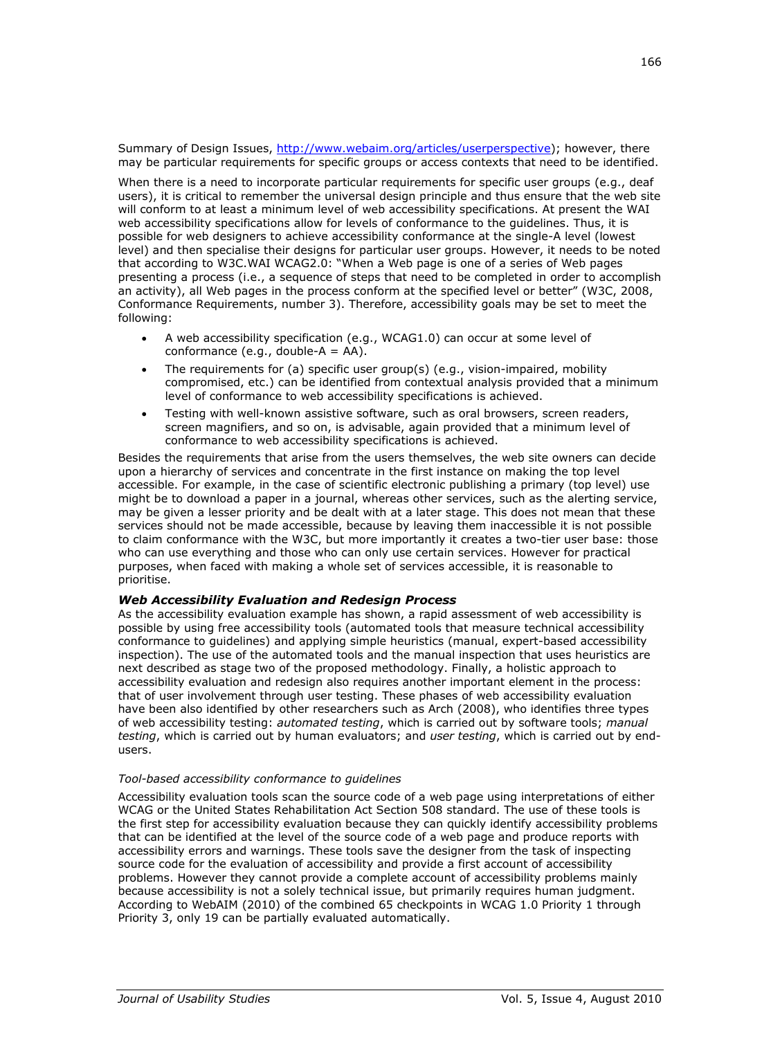Summary of Design Issues, [http://www.webaim.org/articles/userperspective\)](http://www.webaim.org/articles/userperspective); however, there may be particular requirements for specific groups or access contexts that need to be identified.

When there is a need to incorporate particular requirements for specific user groups (e.g., deaf users), it is critical to remember the universal design principle and thus ensure that the web site will conform to at least a minimum level of web accessibility specifications. At present the WAI web accessibility specifications allow for levels of conformance to the guidelines. Thus, it is possible for web designers to achieve accessibility conformance at the single-A level (lowest level) and then specialise their designs for particular user groups. However, it needs to be noted that according to W3C.WAI WCAG2.0: "When a Web page is one of a series of Web pages presenting a process (i.e., a sequence of steps that need to be completed in order to accomplish an activity), all Web pages in the process conform at the specified level or better" (W3C, 2008, Conformance Requirements, number 3). Therefore, accessibility goals may be set to meet the following:

- A web accessibility specification (e.g., WCAG1.0) can occur at some level of conformance (e.g., double- $A = AA$ ).
- The requirements for (a) specific user group(s) (e.g., vision-impaired, mobility compromised, etc.) can be identified from contextual analysis provided that a minimum level of conformance to web accessibility specifications is achieved.
- Testing with well-known assistive software, such as oral browsers, screen readers, screen magnifiers, and so on, is advisable, again provided that a minimum level of conformance to web accessibility specifications is achieved.

Besides the requirements that arise from the users themselves, the web site owners can decide upon a hierarchy of services and concentrate in the first instance on making the top level accessible. For example, in the case of scientific electronic publishing a primary (top level) use might be to download a paper in a journal, whereas other services, such as the alerting service, may be given a lesser priority and be dealt with at a later stage. This does not mean that these services should not be made accessible, because by leaving them inaccessible it is not possible to claim conformance with the W3C, but more importantly it creates a two-tier user base: those who can use everything and those who can only use certain services. However for practical purposes, when faced with making a whole set of services accessible, it is reasonable to prioritise.

#### *Web Accessibility Evaluation and Redesign Process*

As the accessibility evaluation example has shown, a rapid assessment of web accessibility is possible by using free accessibility tools (automated tools that measure technical accessibility conformance to guidelines) and applying simple heuristics (manual, expert-based accessibility inspection). The use of the automated tools and the manual inspection that uses heuristics are next described as stage two of the proposed methodology. Finally, a holistic approach to accessibility evaluation and redesign also requires another important element in the process: that of user involvement through user testing. These phases of web accessibility evaluation have been also identified by other researchers such as Arch (2008), who identifies three types of web accessibility testing: *automated testing*, which is carried out by software tools; *manual testing*, which is carried out by human evaluators; and *user testing*, which is carried out by endusers.

#### *Tool-based accessibility conformance to guidelines*

Accessibility evaluation tools scan the source code of a web page using interpretations of either WCAG or the United States Rehabilitation Act Section 508 standard. The use of these tools is the first step for accessibility evaluation because they can quickly identify accessibility problems that can be identified at the level of the source code of a web page and produce reports with accessibility errors and warnings. These tools save the designer from the task of inspecting source code for the evaluation of accessibility and provide a first account of accessibility problems. However they cannot provide a complete account of accessibility problems mainly because accessibility is not a solely technical issue, but primarily requires human judgment. According to WebAIM (2010) of the combined 65 checkpoints in WCAG 1.0 Priority 1 through Priority 3, only 19 can be partially evaluated automatically.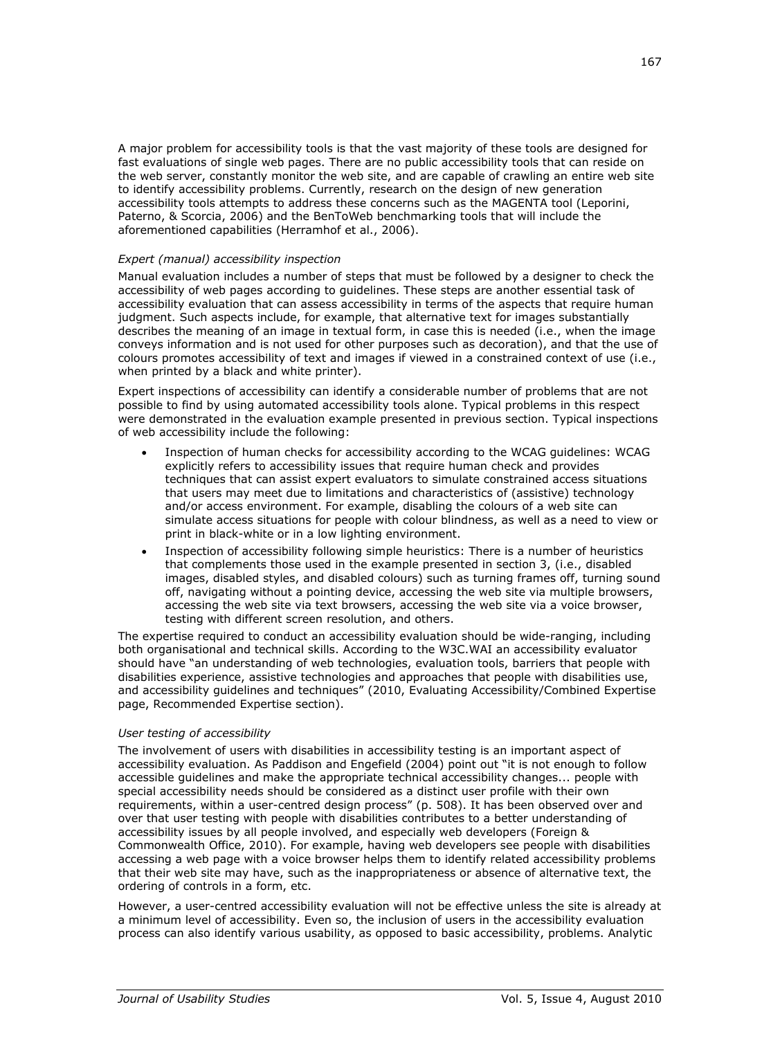A major problem for accessibility tools is that the vast majority of these tools are designed for fast evaluations of single web pages. There are no public accessibility tools that can reside on the web server, constantly monitor the web site, and are capable of crawling an entire web site to identify accessibility problems. Currently, research on the design of new generation accessibility tools attempts to address these concerns such as the MAGENTA tool (Leporini, Paterno, & Scorcia, 2006) and the BenToWeb benchmarking tools that will include the aforementioned capabilities (Herramhof et al., 2006).

#### *Expert (manual) accessibility inspection*

Manual evaluation includes a number of steps that must be followed by a designer to check the accessibility of web pages according to guidelines. These steps are another essential task of accessibility evaluation that can assess accessibility in terms of the aspects that require human judgment. Such aspects include, for example, that alternative text for images substantially describes the meaning of an image in textual form, in case this is needed (i.e., when the image conveys information and is not used for other purposes such as decoration), and that the use of colours promotes accessibility of text and images if viewed in a constrained context of use (i.e., when printed by a black and white printer).

Expert inspections of accessibility can identify a considerable number of problems that are not possible to find by using automated accessibility tools alone. Typical problems in this respect were demonstrated in the evaluation example presented in previous section. Typical inspections of web accessibility include the following:

- Inspection of human checks for accessibility according to the WCAG guidelines: WCAG explicitly refers to accessibility issues that require human check and provides techniques that can assist expert evaluators to simulate constrained access situations that users may meet due to limitations and characteristics of (assistive) technology and/or access environment. For example, disabling the colours of a web site can simulate access situations for people with colour blindness, as well as a need to view or print in black-white or in a low lighting environment.
- Inspection of accessibility following simple heuristics: There is a number of heuristics that complements those used in the example presented in section 3, (i.e., disabled images, disabled styles, and disabled colours) such as turning frames off, turning sound off, navigating without a pointing device, accessing the web site via multiple browsers, accessing the web site via text browsers, accessing the web site via a voice browser, testing with different screen resolution, and others.

The expertise required to conduct an accessibility evaluation should be wide-ranging, including both organisational and technical skills. According to the W3C.WAI an accessibility evaluator should have "an understanding of web technologies, evaluation tools, barriers that people with disabilities experience, assistive technologies and approaches that people with disabilities use, and accessibility guidelines and techniques" (2010, Evaluating Accessibility/Combined Expertise page, Recommended Expertise section).

#### *User testing of accessibility*

The involvement of users with disabilities in accessibility testing is an important aspect of accessibility evaluation. As Paddison and Engefield (2004) point out "it is not enough to follow accessible guidelines and make the appropriate technical accessibility changes... people with special accessibility needs should be considered as a distinct user profile with their own requirements, within a user-centred design process" (p. 508). It has been observed over and over that user testing with people with disabilities contributes to a better understanding of accessibility issues by all people involved, and especially web developers (Foreign & Commonwealth Office, 2010). For example, having web developers see people with disabilities accessing a web page with a voice browser helps them to identify related accessibility problems that their web site may have, such as the inappropriateness or absence of alternative text, the ordering of controls in a form, etc.

However, a user-centred accessibility evaluation will not be effective unless the site is already at a minimum level of accessibility. Even so, the inclusion of users in the accessibility evaluation process can also identify various usability, as opposed to basic accessibility, problems. Analytic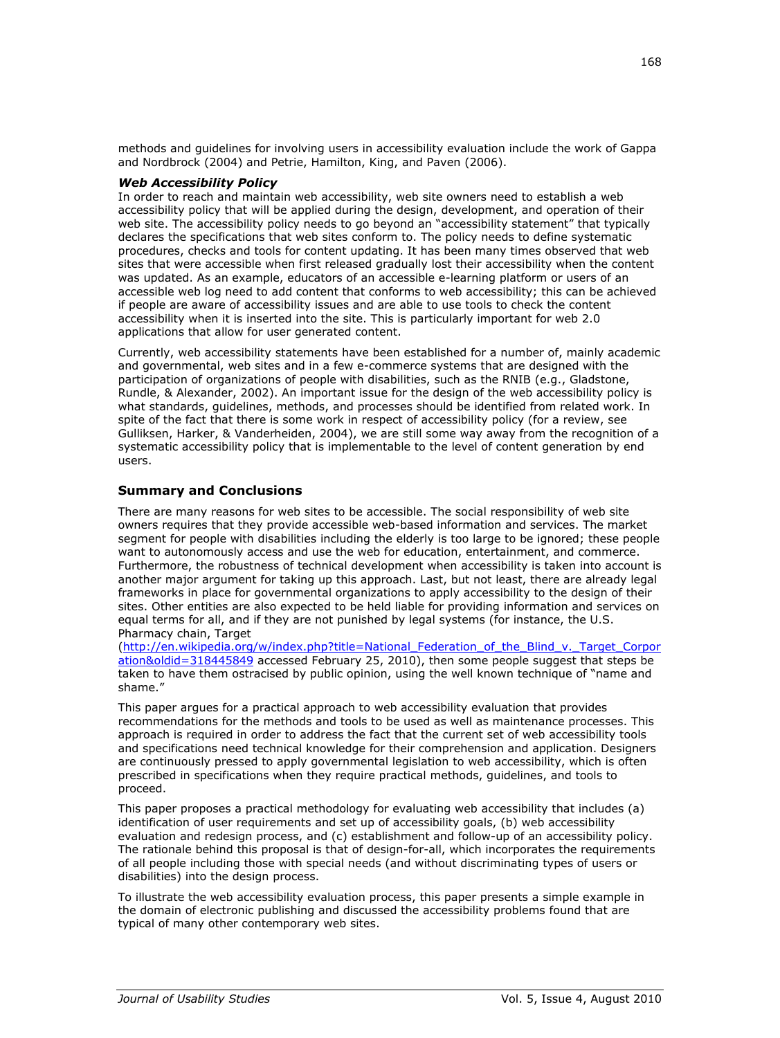methods and guidelines for involving users in accessibility evaluation include the work of Gappa and Nordbrock (2004) and Petrie, Hamilton, King, and Paven (2006).

## *Web Accessibility Policy*

In order to reach and maintain web accessibility, web site owners need to establish a web accessibility policy that will be applied during the design, development, and operation of their web site. The accessibility policy needs to go beyond an "accessibility statement" that typically declares the specifications that web sites conform to. The policy needs to define systematic procedures, checks and tools for content updating. It has been many times observed that web sites that were accessible when first released gradually lost their accessibility when the content was updated. As an example, educators of an accessible e-learning platform or users of an accessible web log need to add content that conforms to web accessibility; this can be achieved if people are aware of accessibility issues and are able to use tools to check the content accessibility when it is inserted into the site. This is particularly important for web 2.0 applications that allow for user generated content.

Currently, web accessibility statements have been established for a number of, mainly academic and governmental, web sites and in a few e-commerce systems that are designed with the participation of organizations of people with disabilities, such as the RNIB (e.g., Gladstone, Rundle, & Alexander, 2002). An important issue for the design of the web accessibility policy is what standards, guidelines, methods, and processes should be identified from related work. In spite of the fact that there is some work in respect of accessibility policy (for a review, see Gulliksen, Harker, & Vanderheiden, 2004), we are still some way away from the recognition of a systematic accessibility policy that is implementable to the level of content generation by end users.

## **Summary and Conclusions**

There are many reasons for web sites to be accessible. The social responsibility of web site owners requires that they provide accessible web-based information and services. The market segment for people with disabilities including the elderly is too large to be ignored; these people want to autonomously access and use the web for education, entertainment, and commerce. Furthermore, the robustness of technical development when accessibility is taken into account is another major argument for taking up this approach. Last, but not least, there are already legal frameworks in place for governmental organizations to apply accessibility to the design of their sites. Other entities are also expected to be held liable for providing information and services on equal terms for all, and if they are not punished by legal systems (for instance, the U.S. Pharmacy chain, Target

[\(http://en.wikipedia.org/w/index.php?title=National\\_Federation\\_of\\_the\\_Blind\\_v.\\_Target\\_Corpor](http://en.wikipedia.org/w/index.php?title=National_Federation_of_the_Blind_v._Target_Corporation&oldid=318445849) [ation&oldid=318445849](http://en.wikipedia.org/w/index.php?title=National_Federation_of_the_Blind_v._Target_Corporation&oldid=318445849) accessed February 25, 2010), then some people suggest that steps be taken to have them ostracised by public opinion, using the well known technique of "name and shame."

This paper argues for a practical approach to web accessibility evaluation that provides recommendations for the methods and tools to be used as well as maintenance processes. This approach is required in order to address the fact that the current set of web accessibility tools and specifications need technical knowledge for their comprehension and application. Designers are continuously pressed to apply governmental legislation to web accessibility, which is often prescribed in specifications when they require practical methods, guidelines, and tools to proceed.

This paper proposes a practical methodology for evaluating web accessibility that includes (a) identification of user requirements and set up of accessibility goals, (b) web accessibility evaluation and redesign process, and (c) establishment and follow-up of an accessibility policy. The rationale behind this proposal is that of design-for-all, which incorporates the requirements of all people including those with special needs (and without discriminating types of users or disabilities) into the design process.

To illustrate the web accessibility evaluation process, this paper presents a simple example in the domain of electronic publishing and discussed the accessibility problems found that are typical of many other contemporary web sites.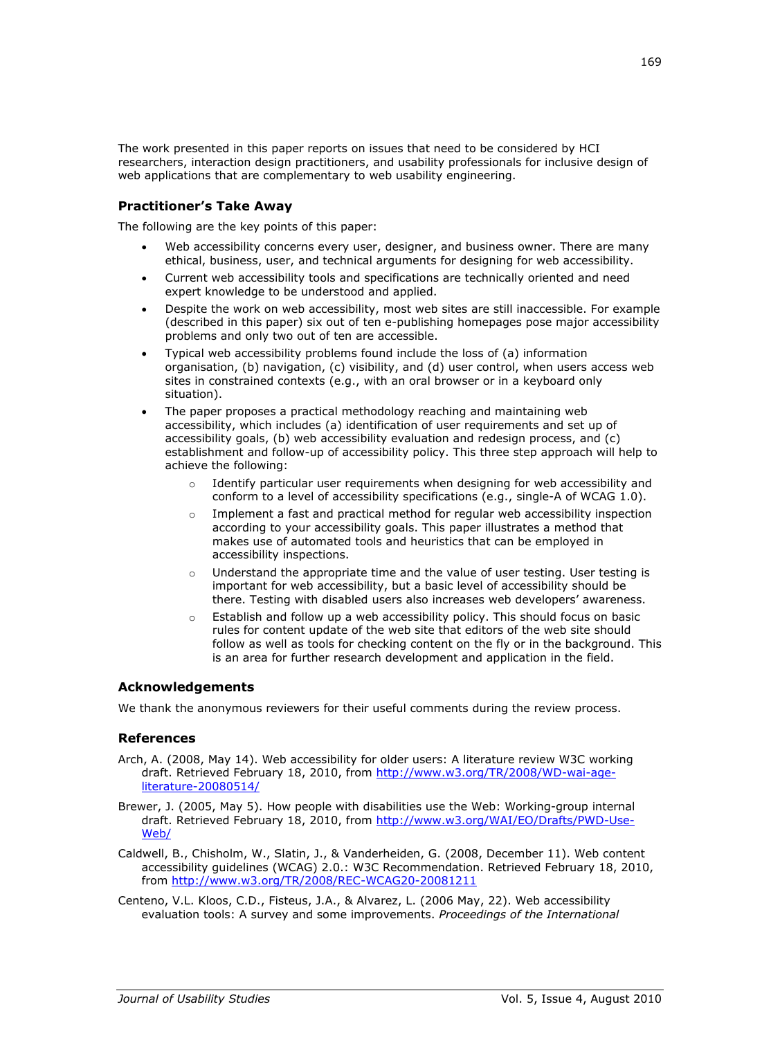The work presented in this paper reports on issues that need to be considered by HCI researchers, interaction design practitioners, and usability professionals for inclusive design of web applications that are complementary to web usability engineering.

## **Practitioner's Take Away**

The following are the key points of this paper:

- Web accessibility concerns every user, designer, and business owner. There are many ethical, business, user, and technical arguments for designing for web accessibility.
- Current web accessibility tools and specifications are technically oriented and need expert knowledge to be understood and applied.
- Despite the work on web accessibility, most web sites are still inaccessible. For example (described in this paper) six out of ten e-publishing homepages pose major accessibility problems and only two out of ten are accessible.
- Typical web accessibility problems found include the loss of (a) information organisation, (b) navigation, (c) visibility, and (d) user control, when users access web sites in constrained contexts (e.g., with an oral browser or in a keyboard only situation).
- The paper proposes a practical methodology reaching and maintaining web accessibility, which includes (a) identification of user requirements and set up of accessibility goals, (b) web accessibility evaluation and redesign process, and (c) establishment and follow-up of accessibility policy. This three step approach will help to achieve the following:
	- $\circ$  Identify particular user requirements when designing for web accessibility and conform to a level of accessibility specifications (e.g., single-A of WCAG 1.0).
	- $\circ$  Implement a fast and practical method for regular web accessibility inspection according to your accessibility goals. This paper illustrates a method that makes use of automated tools and heuristics that can be employed in accessibility inspections.
	- $\circ$  Understand the appropriate time and the value of user testing. User testing is important for web accessibility, but a basic level of accessibility should be there. Testing with disabled users also increases web developers' awareness.
	- o Establish and follow up a web accessibility policy. This should focus on basic rules for content update of the web site that editors of the web site should follow as well as tools for checking content on the fly or in the background. This is an area for further research development and application in the field.

# **Acknowledgements**

We thank the anonymous reviewers for their useful comments during the review process.

## **References**

- Arch, A. (2008, May 14). Web accessibility for older users: A literature review W3C working draft. Retrieved February 18, 2010, from [http://www.w3.org/TR/2008/WD-wai-age](http://www.w3.org/TR/2008/WD-wai-age-literature-20080514/)[literature-20080514/](http://www.w3.org/TR/2008/WD-wai-age-literature-20080514/)
- Brewer, J. (2005, May 5). How people with disabilities use the Web: Working-group internal draft. Retrieved February 18, 2010, from [http://www.w3.org/WAI/EO/Drafts/PWD-Use-](http://www.w3.org/WAI/EO/Drafts/PWD-Use-Web/)[Web/](http://www.w3.org/WAI/EO/Drafts/PWD-Use-Web/)
- Caldwell, B., Chisholm, W., Slatin, J., & Vanderheiden, G. (2008, December 11). Web content accessibility guidelines (WCAG) 2.0.: W3C Recommendation. Retrieved February 18, 2010, from<http://www.w3.org/TR/2008/REC-WCAG20-20081211>
- Centeno, V.L. Kloos, C.D., Fisteus, J.A., & Alvarez, L. (2006 May, 22). Web accessibility evaluation tools: A survey and some improvements. *Proceedings of the International*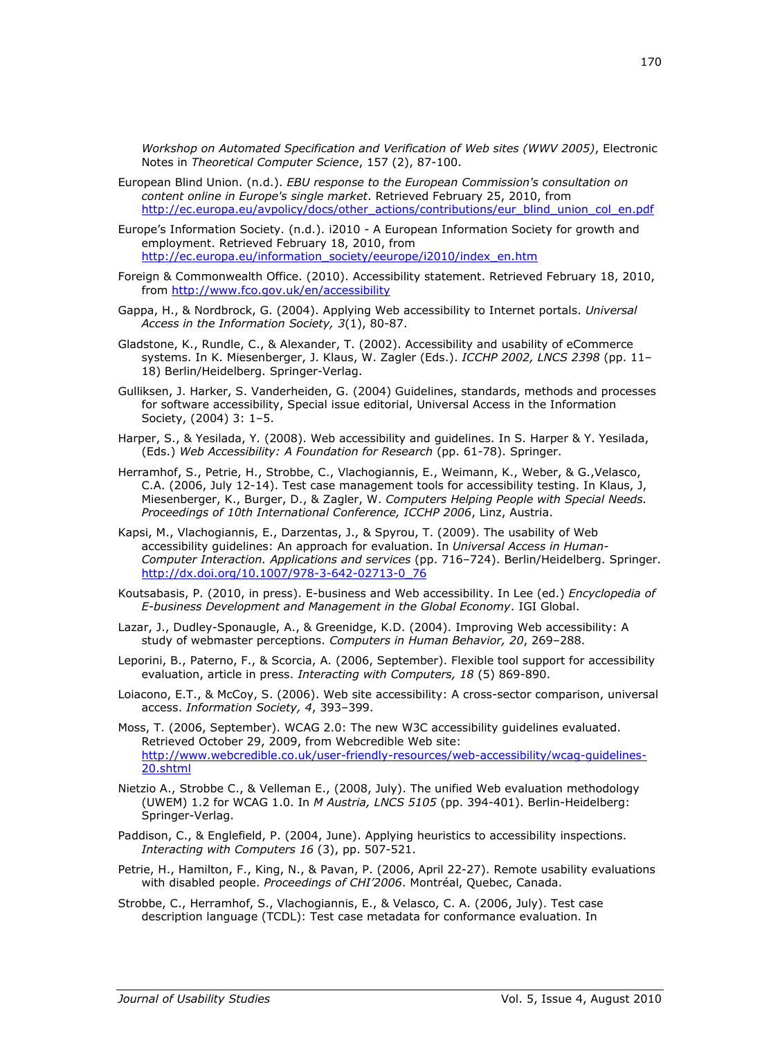*Workshop on Automated Specification and Verification of Web sites (WWV 2005)*, Electronic Notes in *Theoretical Computer Science*, 157 (2), 87-100.

European Blind Union. (n.d.). *EBU response to the European Commission's consultation on content online in Europe's single market*. Retrieved February 25, 2010, from [http://ec.europa.eu/avpolicy/docs/other\\_actions/contributions/eur\\_blind\\_union\\_col\\_en.pdf](http://ec.europa.eu/avpolicy/docs/other_actions/contributions/eur_blind_union_col_en.pdf)

Europe's Information Society. (n.d.). i2010 - A European Information Society for growth and employment. Retrieved February 18, 2010, from [http://ec.europa.eu/information\\_society/eeurope/i2010/index\\_en.htm](http://ec.europa.eu/information_society/eeurope/i2010/index_en.htm)

- Foreign & Commonwealth Office. (2010). Accessibility statement. Retrieved February 18, 2010, from<http://www.fco.gov.uk/en/accessibility>
- Gappa, H., & Nordbrock, G. (2004). Applying Web accessibility to Internet portals. *Universal Access in the Information Society, 3*(1), 80-87.
- Gladstone, K., Rundle, C., & Alexander, T. (2002). Accessibility and usability of eCommerce systems. In K. Miesenberger, J. Klaus, W. Zagler (Eds.). *ICCHP 2002, LNCS 2398* (pp. 11– 18) Berlin/Heidelberg. Springer-Verlag.
- Gulliksen, J. Harker, S. Vanderheiden, G. (2004) Guidelines, standards, methods and processes for software accessibility, Special issue editorial, Universal Access in the Information Society, (2004) 3: 1–5.
- Harper, S., & Yesilada, Y. (2008). Web accessibility and guidelines. In S. Harper & Y. Yesilada, (Eds.) *Web Accessibility: A Foundation for Research* (pp. 61-78). Springer.
- Herramhof, S., Petrie, H., Strobbe, C., Vlachogiannis, E., Weimann, K., Weber, & G.,Velasco, C.A. (2006, July 12-14). Test case management tools for accessibility testing. In Klaus, J, Miesenberger, K., Burger, D., & Zagler, W. *Computers Helping People with Special Needs. Proceedings of 10th International Conference, ICCHP 2006*, Linz, Austria.
- Kapsi, M., Vlachogiannis, E., Darzentas, J., & Spyrou, T. (2009). The usability of Web accessibility guidelines: An approach for evaluation. In *Universal Access in Human-Computer Interaction. Applications and services* (pp. 716–724). Berlin/Heidelberg. Springer. [http://dx.doi.org/10.1007/978-3-642-02713-0\\_76](http://dx.doi.org/10.1007/978-3-642-02713-0_76)
- Koutsabasis, P. (2010, in press). E-business and Web accessibility. In Lee (ed.) *Encyclopedia of E-business Development and Management in the Global Economy*. IGI Global.
- Lazar, J., Dudley-Sponaugle, A., & Greenidge, K.D. (2004). Improving Web accessibility: A study of webmaster perceptions. *Computers in Human Behavior, 20*, 269–288.
- Leporini, B., Paterno, F., & Scorcia, A. (2006, September). Flexible tool support for accessibility evaluation, article in press. *Interacting with Computers, 18* (5) 869-890.
- Loiacono, E.T., & McCoy, S. (2006). Web site accessibility: A cross-sector comparison, universal access. *Information Society, 4*, 393–399.
- Moss, Τ. (2006, September). WCAG 2.0: The new W3C accessibility guidelines evaluated. Retrieved October 29, 2009, from Webcredible Web site: [http://www.webcredible.co.uk/user-friendly-resources/web-accessibility/wcag-guidelines-](http://www.webcredible.co.uk/user-friendly-resources/web-accessibility/wcag-guidelines-20.shtml)[20.shtml](http://www.webcredible.co.uk/user-friendly-resources/web-accessibility/wcag-guidelines-20.shtml)
- Nietzio A., Strobbe C., & Velleman E., (2008, July). The unified Web evaluation methodology (UWEM) 1.2 for WCAG 1.0. In *M Austria, LNCS 5105* (pp. 394-401). Berlin-Heidelberg: Springer-Verlag.
- Paddison, C., & Englefield, P. (2004, June). Applying heuristics to accessibility inspections. *[Interacting with Computers](http://www.sciencedirect.com/science/journal/09535438) [16](http://www.sciencedirect.com/science?_ob=PublicationURL&_tockey=%23TOC%235644%232004%23999839996%23504333%23FLA%23&_cdi=5644&_pubType=J&view=c&_auth=y&_acct=C000059657&_version=1&_urlVersion=0&_userid=632480&md5=cc2c935935c85948c80edae70e74d35a)* (3), pp. 507-521.
- Petrie, H., Hamilton, F., King, N., & Pavan, P. (2006, April 22-27). Remote usability evaluations with disabled people. *Proceedings of CHI'2006*. Montréal, Quebec, Canada.
- Strobbe, C., Herramhof, S., Vlachogiannis, E., & Velasco, C. A. (2006, July). Test case description language (TCDL): Test case metadata for conformance evaluation. In